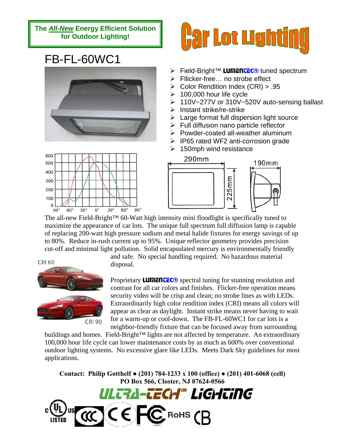**The** *All-New* **Energy Efficient Solution for Outdoor Lighting!** 

## FB-FL-60WC1





- **Example Field-Bright™ LUMENTEC<sup>®</sup> tuned spectrum**
- ¾ Fllicker-free… no strobe effect
- ¾ Color Rendition Index (CRI) > .95
- $\geq 100,000$  hour life cycle
- ¾ 110V~277V or 310V~520V auto-sensing ballast
- $\triangleright$  Instant strike/re-strike
- $\triangleright$  Large format full dispersion light source
- $\triangleright$  Full diffusion nano particle reflector
- $\triangleright$  Powder-coated all-weather aluminum
- $\triangleright$  IP65 rated WF2 anti-corrosion grade
- $\geq 150$ mph wind resistance





The all-new Field-Bright™ 60-Watt high intensity mini floodlight is specifically tuned to maximize the appearance of car lots. The unique full spectrum full diffusion lamp is capable of replacing 200-watt high pressure sodium and metal halide fixtures for energy savings of up to 80%. Reduce in-rush current up to 95%. Unique reflector geometry provides precision cut-off and minimal light pollution. Solid encapsulated mercury is environmentally friendly

**CRI 60** 



and safe. No special handling required. No hazardous material disposal.

Proprietary **LUMENTEC®** spectral tuning for stunning resolution and contrast for all car colors and finishes. Flicker-free operation means security video will be crisp and clean; no strobe lines as with LEDs. Extraordinarily high color rendition index (CRI) means all colors will appear as clear as daylight. Instant strike means never having to wait for a warm-up or cool-down. The FB-FL-60WC1 for car lots is a neighbor-friendly fixture that can be focused away from surrounding

buildings and homes. Field-Bright™ lights are not affected by temperature. An extraordinary 100,000 hour life cycle can lower maintenance costs by as much as 600% over conventional outdoor lighting systems. No excessive glare like LEDs. Meets Dark Sky guidelines for most applications.

**Contact: Philip Gotthelf ● (201) 784-1233 x 100 (office) ● (201) 401-6068 (cell) PO Box 566, Closter, NJ 07624-0566**